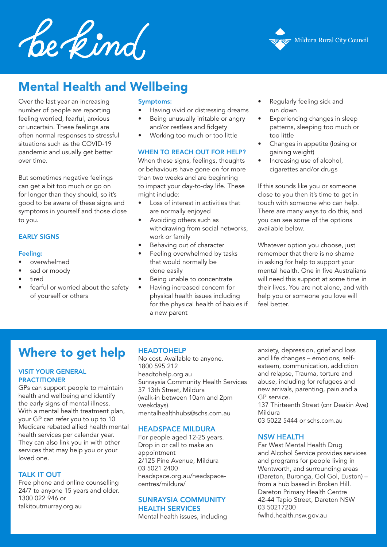Le kind



# Mental Health and Wellbeing

Over the last year an increasing number of people are reporting feeling worried, fearful, anxious or uncertain. These feelings are often normal responses to stressful situations such as the COVID-19 pandemic and usually get better over time.

But sometimes negative feelings can get a bit too much or go on for longer than they should, so it's good to be aware of these signs and symptoms in yourself and those close to you.

#### EARLY SIGNS

#### Feeling:

- overwhelmed
- sad or moody
- tired
- fearful or worried about the safety of yourself or others

#### Symptoms:

- Having vivid or distressing dreams
- Being unusually irritable or angry and/or restless and fidgety
- Working too much or too little

#### WHEN TO REACH OUT FOR HELP?

When these signs, feelings, thoughts or behaviours have gone on for more than two weeks and are beginning to impact your day-to-day life. These might include:

- Loss of interest in activities that are normally enjoyed
- Avoiding others such as withdrawing from social networks, work or family
- Behaving out of character
- Feeling overwhelmed by tasks that would normally be done easily
- Being unable to concentrate
- Having increased concern for physical health issues including for the physical health of babies if a new parent
- Regularly feeling sick and run down
- Experiencing changes in sleep patterns, sleeping too much or too little
- Changes in appetite (losing or gaining weight)
- Increasing use of alcohol, cigarettes and/or drugs

If this sounds like you or someone close to you then it's time to get in touch with someone who can help. There are many ways to do this, and you can see some of the options available below.

Whatever option you choose, just remember that there is no shame in asking for help to support your mental health. One in five Australians will need this support at some time in their lives. You are not alone, and with help you or someone you love will feel better.

## Where to get help

#### VISIT YOUR GENERAL **PRACTITIONER**

GPs can support people to maintain health and wellbeing and identify the early signs of mental illness. With a mental health treatment plan, your GP can refer you to up to 10 Medicare rebated allied health mental health services per calendar year. They can also link you in with other services that may help you or your loved one.

#### TALK IT OUT

Free phone and online counselling 24/7 to anyone 15 years and older. 1300 022 946 or talkitoutmurray.org.au

#### HEADTOHELP

No cost. Available to anyone. 1800 595 212 headtohelp.org.au Sunraysia Community Health Services 37 13th Street, Mildura (walk-in between 10am and 2pm weekdays). mentalhealthhubs@schs.com.au

#### HEADSPACE MILDURA

For people aged 12-25 years. Drop in or call to make an appointment 2/125 Pine Avenue, Mildura 03 5021 2400 headspace.org.au/headspacecentres/mildura/

## SUNRAYSIA COMMUNITY HEALTH SERVICES

Mental health issues, including

anxiety, depression, grief and loss and life changes – emotions, selfesteem, communication, addiction and relapse, Trauma, torture and abuse, including for refugees and new arrivals, parenting, pain and a GP service.

137 Thirteenth Street (cnr Deakin Ave) Mildura

03 5022 5444 or schs.com.au

#### NSW HEALTH

Far West Mental Health Drug and Alcohol Service provides services and programs for people living in Wentworth, and surrounding areas (Dareton, Buronga, Gol Gol, Euston) – from a hub based in Broken Hill. Dareton Primary Health Centre 42-44 Tapio Street, Dareton NSW 03 50217200 fwlhd.health.nsw.gov.au